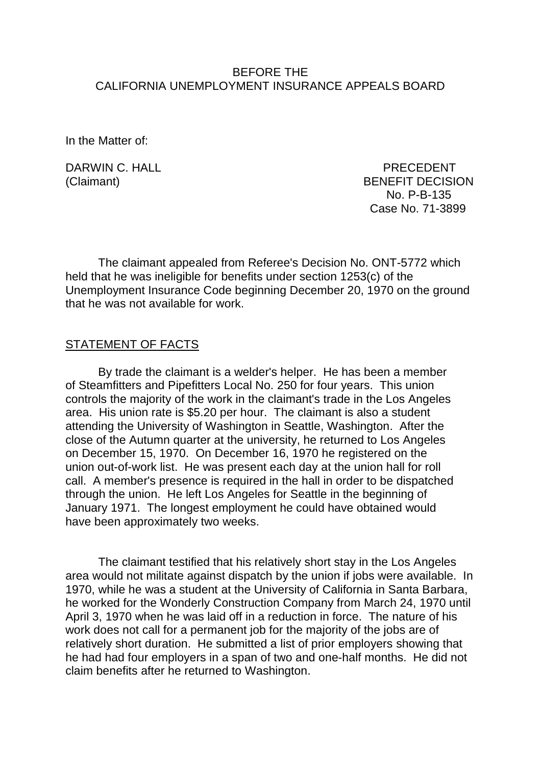## BEFORE THE CALIFORNIA UNEMPLOYMENT INSURANCE APPEALS BOARD

In the Matter of:

DARWIN C. HALL PRECEDENT

(Claimant) BENEFIT DECISION No. P-B-135 Case No. 71-3899

The claimant appealed from Referee's Decision No. ONT-5772 which held that he was ineligible for benefits under section 1253(c) of the Unemployment Insurance Code beginning December 20, 1970 on the ground that he was not available for work.

## STATEMENT OF FACTS

By trade the claimant is a welder's helper. He has been a member of Steamfitters and Pipefitters Local No. 250 for four years. This union controls the majority of the work in the claimant's trade in the Los Angeles area. His union rate is \$5.20 per hour. The claimant is also a student attending the University of Washington in Seattle, Washington. After the close of the Autumn quarter at the university, he returned to Los Angeles on December 15, 1970. On December 16, 1970 he registered on the union out-of-work list. He was present each day at the union hall for roll call. A member's presence is required in the hall in order to be dispatched through the union. He left Los Angeles for Seattle in the beginning of January 1971. The longest employment he could have obtained would have been approximately two weeks.

The claimant testified that his relatively short stay in the Los Angeles area would not militate against dispatch by the union if jobs were available. In 1970, while he was a student at the University of California in Santa Barbara, he worked for the Wonderly Construction Company from March 24, 1970 until April 3, 1970 when he was laid off in a reduction in force. The nature of his work does not call for a permanent job for the majority of the jobs are of relatively short duration. He submitted a list of prior employers showing that he had had four employers in a span of two and one-half months. He did not claim benefits after he returned to Washington.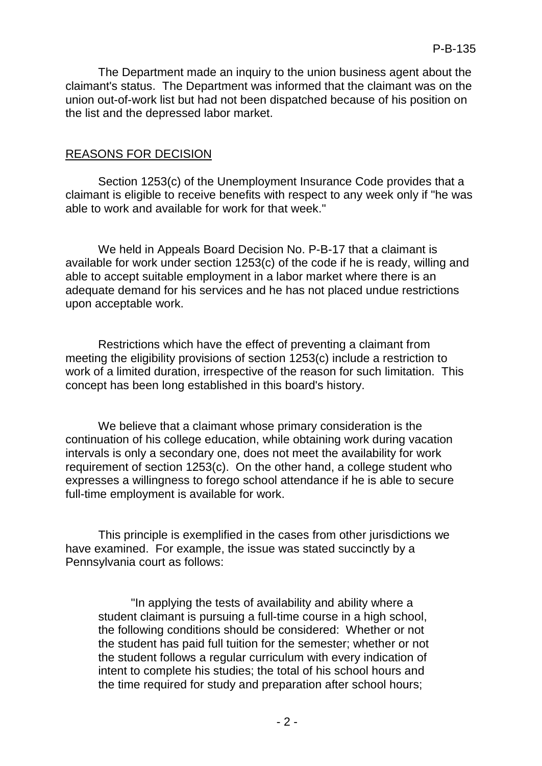The Department made an inquiry to the union business agent about the claimant's status. The Department was informed that the claimant was on the union out-of-work list but had not been dispatched because of his position on the list and the depressed labor market.

## REASONS FOR DECISION

Section 1253(c) of the Unemployment Insurance Code provides that a claimant is eligible to receive benefits with respect to any week only if "he was able to work and available for work for that week."

We held in Appeals Board Decision No. P-B-17 that a claimant is available for work under section 1253(c) of the code if he is ready, willing and able to accept suitable employment in a labor market where there is an adequate demand for his services and he has not placed undue restrictions upon acceptable work.

Restrictions which have the effect of preventing a claimant from meeting the eligibility provisions of section 1253(c) include a restriction to work of a limited duration, irrespective of the reason for such limitation. This concept has been long established in this board's history.

We believe that a claimant whose primary consideration is the continuation of his college education, while obtaining work during vacation intervals is only a secondary one, does not meet the availability for work requirement of section 1253(c). On the other hand, a college student who expresses a willingness to forego school attendance if he is able to secure full-time employment is available for work.

This principle is exemplified in the cases from other jurisdictions we have examined. For example, the issue was stated succinctly by a Pennsylvania court as follows:

"In applying the tests of availability and ability where a student claimant is pursuing a full-time course in a high school, the following conditions should be considered: Whether or not the student has paid full tuition for the semester; whether or not the student follows a regular curriculum with every indication of intent to complete his studies; the total of his school hours and the time required for study and preparation after school hours;